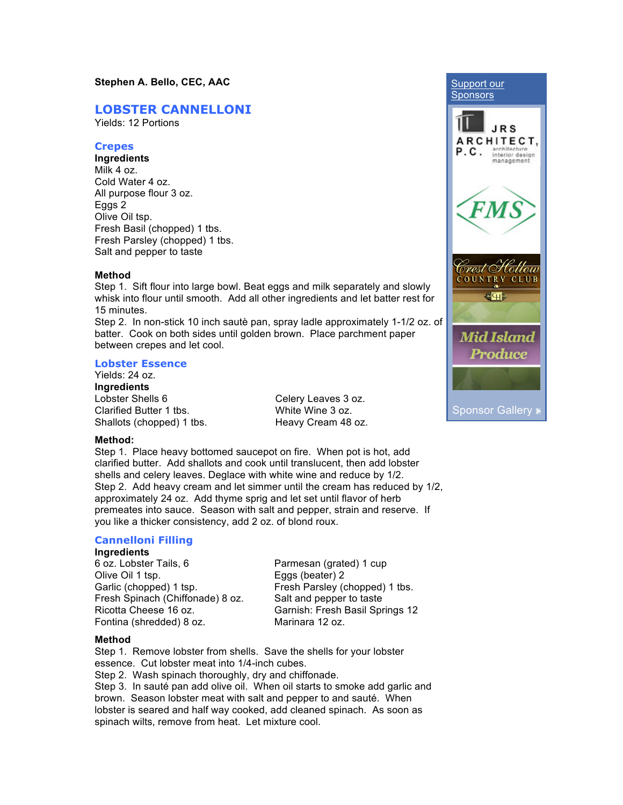# **LOBSTER CANNELLONI**

Yields: 12 Portions

## **Crepes**

**Ingredients** Milk 4 oz. Cold Water 4 oz. All purpose flour 3 oz. Eggs 2 Olive Oil tsp. Fresh Basil (chopped) 1 tbs. Fresh Parsley (chopped) 1 tbs. Salt and pepper to taste

## **Method**

Step 1. Sift flour into large bowl. Beat eggs and milk separately and slowly whisk into flour until smooth. Add all other ingredients and let batter rest for 15 minutes.

Step 2. In non-stick 10 inch sautè pan, spray ladle approximately 1-1/2 oz. of batter. Cook on both sides until golden brown. Place parchment paper between crepes and let cool.

# **Lobster Essence**

Yields: 24 oz. **Ingredients** Lobster Shells 6 Clarified Butter 1 tbs. Shallots (chopped) 1 tbs.

Celery Leaves 3 oz. White Wine 3 oz. Heavy Cream 48 oz.



#### **Method:**

Step 1. Place heavy bottomed saucepot on fire. When pot is hot, add clarified butter. Add shallots and cook until translucent, then add lobster shells and celery leaves. Deglace with white wine and reduce by 1/2. Step 2. Add heavy cream and let simmer until the cream has reduced by 1/2, approximately 24 oz. Add thyme sprig and let set until flavor of herb premeates into sauce. Season with salt and pepper, strain and reserve. If you like a thicker consistency, add 2 oz. of blond roux.

# **Cannelloni Filling**

#### **Ingredients**

6 oz. Lobster Tails, 6 Olive Oil 1 tsp. Garlic (chopped) 1 tsp. Fresh Spinach (Chiffonade) 8 oz. Ricotta Cheese 16 oz. Fontina (shredded) 8 oz.

Parmesan (grated) 1 cup Eggs (beater) 2 Fresh Parsley (chopped) 1 tbs. Salt and pepper to taste Garnish: Fresh Basil Springs 12 Marinara 12 oz.

#### **Method**

Step 1. Remove lobster from shells. Save the shells for your lobster essence. Cut lobster meat into 1/4-inch cubes. Step 2. Wash spinach thoroughly, dry and chiffonade.

Step 3. In sauté pan add olive oil. When oil starts to smoke add garlic and brown. Season lobster meat with salt and pepper to and sauté. When lobster is seared and half way cooked, add cleaned spinach. As soon as spinach wilts, remove from heat. Let mixture cool.